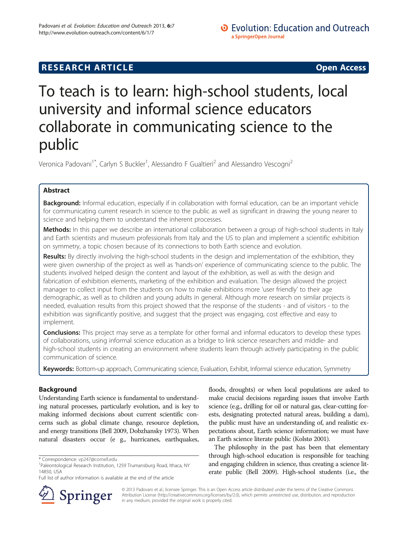# **RESEARCH ARTICLE Example 2014 12:30 The SEAR CHIPS 2014 12:30 The Open Access**

# To teach is to learn: high-school students, local university and informal science educators collaborate in communicating science to the public

Veronica Padovani<sup>1\*</sup>, Carlyn S Buckler<sup>1</sup>, Alessandro F Gualtieri<sup>2</sup> and Alessandro Vescogni<sup>2</sup>

# Abstract

**Background:** Informal education, especially if in collaboration with formal education, can be an important vehicle for communicating current research in science to the public as well as significant in drawing the young nearer to science and helping them to understand the inherent processes.

Methods: In this paper we describe an international collaboration between a group of high-school students in Italy and Earth scientists and museum professionals from Italy and the US to plan and implement a scientific exhibition on symmetry, a topic chosen because of its connections to both Earth science and evolution.

Results: By directly involving the high-school students in the design and implementation of the exhibition, they were given ownership of the project as well as 'hands-on' experience of communicating science to the public. The students involved helped design the content and layout of the exhibition, as well as with the design and fabrication of exhibition elements, marketing of the exhibition and evaluation. The design allowed the project manager to collect input from the students on how to make exhibitions more 'user friendly' to their age demographic, as well as to children and young adults in general. Although more research on similar projects is needed, evaluation results from this project showed that the response of the students - and of visitors - to the exhibition was significantly positive, and suggest that the project was engaging, cost effective and easy to implement.

Conclusions: This project may serve as a template for other formal and informal educators to develop these types of collaborations, using informal science education as a bridge to link science researchers and middle- and high-school students in creating an environment where students learn through actively participating in the public communication of science.

Keywords: Bottom-up approach, Communicating science, Evaluation, Exhibit, Informal science education, Symmetry

# Background

Understanding Earth science is fundamental to understanding natural processes, particularly evolution, and is key to making informed decisions about current scientific concerns such as global climate change, resource depletion, and energy transitions (Bell [2009,](#page-4-0) Dobzhansky [1973\)](#page-4-0). When natural disasters occur (e g., hurricanes, earthquakes,



The philosophy in the past has been that elementary through high-school education is responsible for teaching and engaging children in science, thus creating a science literate public (Bell [2009\)](#page-4-0). High-school students (i.e., the



© 2013 Padovani et al.; licensee Springer. This is an Open Access article distributed under the terms of the Creative Commons Attribution License [\(http://creativecommons.org/licenses/by/2.0\)](http://creativecommons.org/licenses/by/2.0), which permits unrestricted use, distribution, and reproduction in any medium, provided the original work is properly cited.

<sup>\*</sup> Correspondence: [vp247@cornell.edu](mailto:vp247@cornell.edu) <sup>1</sup>

<sup>&</sup>lt;sup>1</sup>Paleontological Research Institution, 1259 Trumansburg Road, Ithaca, NY 14850, USA

Full list of author information is available at the end of the article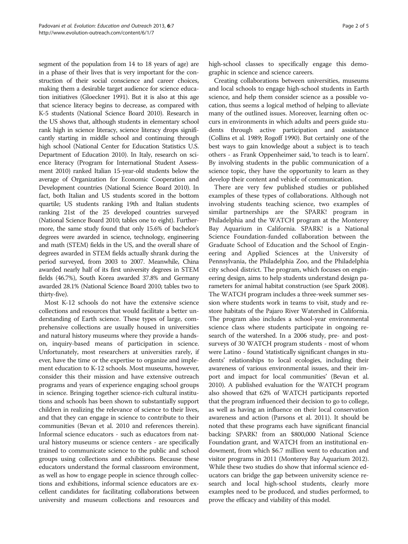segment of the population from 14 to 18 years of age) are in a phase of their lives that is very important for the construction of their social conscience and career choices, making them a desirable target audience for science education initiatives (Gloeckner [1991](#page-4-0)). But it is also at this age that science literacy begins to decrease, as compared with K-5 students (National Science Board [2010\)](#page-4-0). Research in the US shows that, although students in elementary school rank high in science literacy, science literacy drops significantly starting in middle school and continuing through high school (National Center for Education Statistics U.S. Department of Education [2010\)](#page-4-0). In Italy, research on science literacy (Program for International Student Assessment 2010) ranked Italian 15-year-old students below the average of Organization for Economic Cooperation and Development countries (National Science Board [2010](#page-4-0)). In fact, both Italian and US students scored in the bottom quartile; US students ranking 19th and Italian students ranking 21st of the 25 developed countries surveyed (National Science Board [2010](#page-4-0); tables one to eight). Furthermore, the same study found that only 15.6% of bachelor's degrees were awarded in science, technology, engineering and math (STEM) fields in the US, and the overall share of degrees awarded in STEM fields actually shrank during the period surveyed, from 2003 to 2007. Meanwhile, China awarded nearly half of its first university degrees in STEM fields (46.7%), South Korea awarded 37.8% and Germany awarded 28.1% (National Science Board [2010;](#page-4-0) tables two to thirty-five).

Most K-12 schools do not have the extensive science collections and resources that would facilitate a better understanding of Earth science. These types of large, comprehensive collections are usually housed in universities and natural history museums where they provide a handson, inquiry-based means of participation in science. Unfortunately, most researchers at universities rarely, if ever, have the time or the expertise to organize and implement education to K-12 schools. Most museums, however, consider this their mission and have extensive outreach programs and years of experience engaging school groups in science. Bringing together science-rich cultural institutions and schools has been shown to substantially support children in realizing the relevance of science to their lives, and that they can engage in science to contribute to their communities (Bevan et al. [2010](#page-4-0) and references therein). Informal science educators - such as educators from natural history museums or science centers - are specifically trained to communicate science to the public and school groups using collections and exhibitions. Because these educators understand the formal classroom environment, as well as how to engage people in science through collections and exhibitions, informal science educators are excellent candidates for facilitating collaborations between university and museum collections and resources and high-school classes to specifically engage this demographic in science and science careers.

Creating collaborations between universities, museums and local schools to engage high-school students in Earth science, and help them consider science as a possible vocation, thus seems a logical method of helping to alleviate many of the outlined issues. Moreover, learning often occurs in environments in which adults and peers guide students through active participation and assistance (Collins et al. [1989;](#page-4-0) Rogoff [1990](#page-4-0)). But certainly one of the best ways to gain knowledge about a subject is to teach others - as Frank Oppenheimer said, 'to teach is to learn'. By involving students in the public communication of a science topic, they have the opportunity to learn as they develop their content and vehicle of communication.

There are very few published studies or published examples of these types of collaborations. Although not involving students teaching science, two examples of similar partnerships are the SPARK! program in Philadelphia and the WATCH program at the Monterey Bay Aquarium in California. SPARK! is a National Science Foundation-funded collaboration between the Graduate School of Education and the School of Engineering and Applied Sciences at the University of Pennsylvania, the Philadelphia Zoo, and the Philadelphia city school district. The program, which focuses on engineering design, aims to help students understand design parameters for animal habitat construction (see Spark [2008](#page-4-0)). The WATCH program includes a three-week summer session where students work in teams to visit, study and restore habitats of the Pajaro River Watershed in California. The program also includes a school-year environmental science class where students participate in ongoing research of the watershed. In a 2006 study, pre- and postsurveys of 30 WATCH program students - most of whom were Latino - found 'statistically significant changes in students' relationships to local ecologies, including their awareness of various environmental issues, and their import and impact for local communities' (Bevan et al. [2010](#page-4-0)). A published evaluation for the WATCH program also showed that 62% of WATCH participants reported that the program influenced their decision to go to college, as well as having an influence on their local conservation awareness and action (Parsons et al. [2011\)](#page-4-0). It should be noted that these programs each have significant financial backing: SPARK! from an \$800,000 National Science Foundation grant, and WATCH from an institutional endowment, from which \$6.7 million went to education and visitor programs in 2011 (Monterey Bay Aquarium [2012](#page-4-0)). While these two studies do show that informal science educators can bridge the gap between university science research and local high-school students, clearly more examples need to be produced, and studies performed, to prove the efficacy and viability of this model.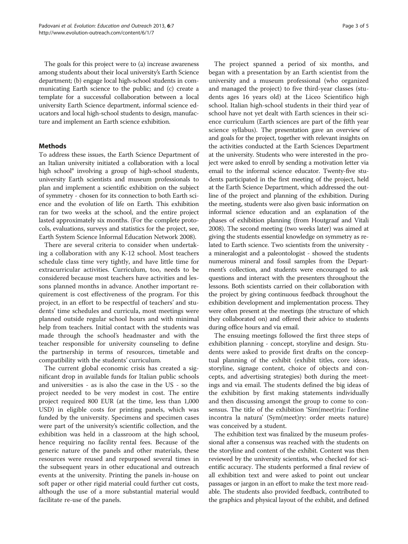The goals for this project were to (a) increase awareness among students about their local university's Earth Science department; (b) engage local high-school students in communicating Earth science to the public; and (c) create a template for a successful collaboration between a local university Earth Science department, informal science educators and local high-school students to design, manufacture and implement an Earth science exhibition.

# Methods

To address these issues, the Earth Science Department of an Italian university initiated a collaboration with a local high school<sup>a</sup> involving a group of high-school students, university Earth scientists and museum professionals to plan and implement a scientific exhibition on the subject of symmetry - chosen for its connection to both Earth science and the evolution of life on Earth. This exhibition ran for two weeks at the school, and the entire project lasted approximately six months. (For the complete protocols, evaluations, surveys and statistics for the project, see, Earth System Science Informal Education Network [2008\)](#page-4-0).

There are several criteria to consider when undertaking a collaboration with any K-12 school. Most teachers schedule class time very tightly, and have little time for extracurricular activities. Curriculum, too, needs to be considered because most teachers have activities and lessons planned months in advance. Another important requirement is cost effectiveness of the program. For this project, in an effort to be respectful of teachers' and students' time schedules and curricula, most meetings were planned outside regular school hours and with minimal help from teachers. Initial contact with the students was made through the school's headmaster and with the teacher responsible for university counseling to define the partnership in terms of resources, timetable and compatibility with the students' curriculum.

The current global economic crisis has created a significant drop in available funds for Italian public schools and universities - as is also the case in the US - so the project needed to be very modest in cost. The entire project required 800 EUR (at the time, less than 1,000 USD) in eligible costs for printing panels, which was funded by the university. Specimens and specimen cases were part of the university's scientific collection, and the exhibition was held in a classroom at the high school, hence requiring no facility rental fees. Because of the generic nature of the panels and other materials, these resources were reused and repurposed several times in the subsequent years in other educational and outreach events at the university. Printing the panels in-house on soft paper or other rigid material could further cut costs, although the use of a more substantial material would facilitate re-use of the panels.

The project spanned a period of six months, and began with a presentation by an Earth scientist from the university and a museum professional (who organized and managed the project) to five third-year classes (students ages 16 years old) at the Liceo Scientifico high school. Italian high-school students in their third year of school have not yet dealt with Earth sciences in their science curriculum (Earth sciences are part of the fifth year science syllabus). The presentation gave an overview of and goals for the project, together with relevant insights on the activities conducted at the Earth Sciences Department at the university. Students who were interested in the project were asked to enroll by sending a motivation letter via email to the informal science educator. Twenty-five students participated in the first meeting of the project, held at the Earth Science Department, which addressed the outline of the project and planning of the exhibition. During the meeting, students were also given basic information on informal science education and an explanation of the phases of exhibition planning (from Houtgraaf and Vitali [2008\)](#page-4-0). The second meeting (two weeks later) was aimed at giving the students essential knowledge on symmetry as related to Earth science. Two scientists from the university a mineralogist and a paleontologist - showed the students numerous mineral and fossil samples from the Department's collection, and students were encouraged to ask questions and interact with the presenters throughout the lessons. Both scientists carried on their collaboration with the project by giving continuous feedback throughout the exhibition development and implementation process. They were often present at the meetings (the structure of which they collaborated on) and offered their advice to students during office hours and via email.

The ensuing meetings followed the first three steps of exhibition planning - concept, storyline and design. Students were asked to provide first drafts on the conceptual planning of the exhibit (exhibit titles, core ideas, storyline, signage content, choice of objects and concepts, and advertising strategies) both during the meetings and via email. The students defined the big ideas of the exhibition by first making statements individually and then discussing amongst the group to come to consensus. The title of the exhibition 'Sim(meet)ria: l'ordine incontra la natura' (Sym(meet)ry: order meets nature) was conceived by a student.

The exhibition text was finalized by the museum professional after a consensus was reached with the students on the storyline and content of the exhibit. Content was then reviewed by the university scientists, who checked for scientific accuracy. The students performed a final review of all exhibition text and were asked to point out unclear passages or jargon in an effort to make the text more readable. The students also provided feedback, contributed to the graphics and physical layout of the exhibit, and defined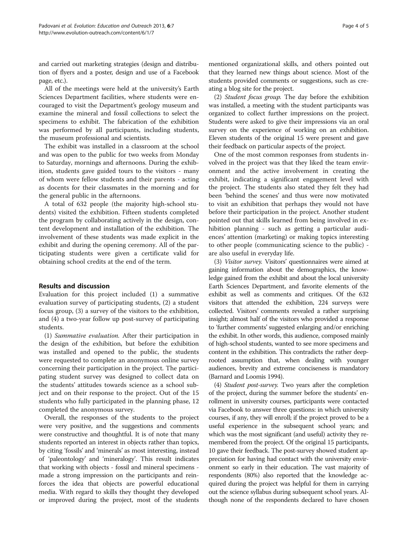and carried out marketing strategies (design and distribution of flyers and a poster, design and use of a Facebook page, etc.).

All of the meetings were held at the university's Earth Sciences Department facilities, where students were encouraged to visit the Department's geology museum and examine the mineral and fossil collections to select the specimens to exhibit. The fabrication of the exhibition was performed by all participants, including students, the museum professional and scientists.

The exhibit was installed in a classroom at the school and was open to the public for two weeks from Monday to Saturday, mornings and afternoons. During the exhibition, students gave guided tours to the visitors - many of whom were fellow students and their parents - acting as docents for their classmates in the morning and for the general public in the afternoons.

A total of 632 people (the majority high-school students) visited the exhibition. Fifteen students completed the program by collaborating actively in the design, content development and installation of the exhibition. The involvement of these students was made explicit in the exhibit and during the opening ceremony. All of the participating students were given a certificate valid for obtaining school credits at the end of the term.

# Results and discussion

Evaluation for this project included (1) a summative evaluation survey of participating students, (2) a student focus group, (3) a survey of the visitors to the exhibition, and (4) a two-year follow up post-survey of participating students.

(1) Summative evaluation. After their participation in the design of the exhibition, but before the exhibition was installed and opened to the public, the students were requested to complete an anonymous online survey concerning their participation in the project. The participating student survey was designed to collect data on the students' attitudes towards science as a school subject and on their response to the project. Out of the 15 students who fully participated in the planning phase, 12 completed the anonymous survey.

Overall, the responses of the students to the project were very positive, and the suggestions and comments were constructive and thoughtful. It is of note that many students reported an interest in objects rather than topics, by citing 'fossils' and 'minerals' as most interesting, instead of 'paleontology' and 'mineralogy'. This result indicates that working with objects - fossil and mineral specimens made a strong impression on the participants and reinforces the idea that objects are powerful educational media. With regard to skills they thought they developed or improved during the project, most of the students

mentioned organizational skills, and others pointed out that they learned new things about science. Most of the students provided comments or suggestions, such as creating a blog site for the project.

(2) Student focus group. The day before the exhibition was installed, a meeting with the student participants was organized to collect further impressions on the project. Students were asked to give their impressions via an oral survey on the experience of working on an exhibition. Eleven students of the original 15 were present and gave their feedback on particular aspects of the project.

One of the most common responses from students involved in the project was that they liked the team environment and the active involvement in creating the exhibit, indicating a significant engagement level with the project. The students also stated they felt they had been 'behind the scenes' and thus were now motivated to visit an exhibition that perhaps they would not have before their participation in the project. Another student pointed out that skills learned from being involved in exhibition planning - such as getting a particular audiences' attention (marketing) or making topics interesting to other people (communicating science to the public) are also useful in everyday life.

(3) Visitor survey. Visitors' questionnaires were aimed at gaining information about the demographics, the knowledge gained from the exhibit and about the local university Earth Sciences Department, and favorite elements of the exhibit as well as comments and critiques. Of the 632 visitors that attended the exhibition, 224 surveys were collected. Visitors' comments revealed a rather surprising insight; almost half of the visitors who provided a response to 'further comments' suggested enlarging and/or enriching the exhibit. In other words, this audience, composed mainly of high-school students, wanted to see more specimens and content in the exhibition. This contradicts the rather deeprooted assumption that, when dealing with younger audiences, brevity and extreme conciseness is mandatory (Barnard and Loomis [1994](#page-4-0)).

(4) Student post-survey. Two years after the completion of the project, during the summer before the students' enrollment in university courses, participants were contacted via Facebook to answer three questions: in which university courses, if any, they will enroll; if the project proved to be a useful experience in the subsequent school years; and which was the most significant (and useful) activity they remembered from the project. Of the original 15 participants, 10 gave their feedback. The post-survey showed student appreciation for having had contact with the university environment so early in their education. The vast majority of respondents (80%) also reported that the knowledge acquired during the project was helpful for them in carrying out the science syllabus during subsequent school years. Although none of the respondents declared to have chosen